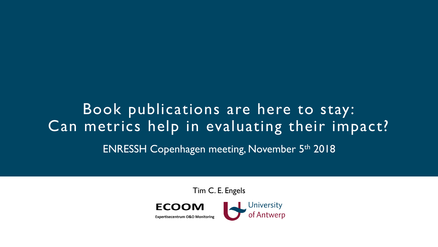# Book publications are here to stay: Can metrics help in evaluating their impact? ENRESSH Copenhagen meeting, November 5th 2018

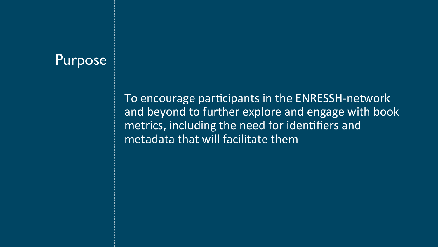### **Purpose**

To encourage participants in the ENRESSH-network and beyond to further explore and engage with book metrics, including the need for identifiers and metadata that will facilitate them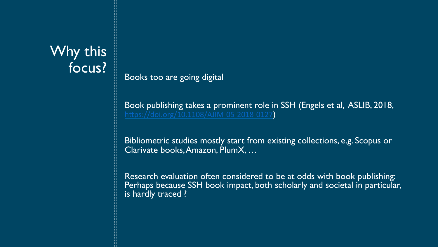## Why this focus?

Books too are going digital

Book publishing takes a prominent role in SSH (Engels et al, ASLIB, 2018, https://doi.org/10.1108/AJIM-05-2018-0127

Bibliometric studies mostly start from existing collections, e.g. Scopus or Clarivate books, Amazon, PlumX, …

Research evaluation often considered to be at odds with book publishing: Perhaps because SSH book impact, both scholarly and societal in particular, is hardly traced ?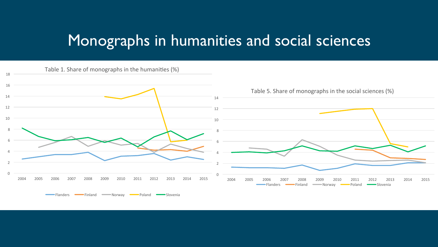## Monographs in humanities and social sciences

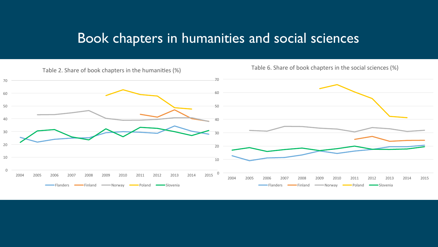### Book chapters in humanities and social sciences

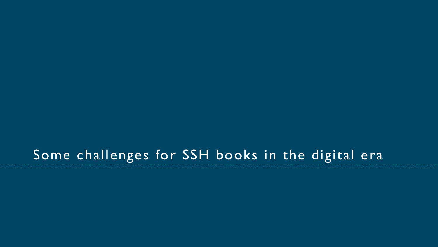## Some challenges for SSH books in the digital era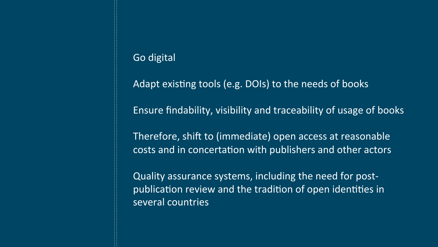### Go digital

Adapt existing tools (e.g. DOIs) to the needs of books

Ensure findability, visibility and traceability of usage of books

Therefore, shift to (immediate) open access at reasonable costs and in concertation with publishers and other actors

Quality assurance systems, including the need for postpublication review and the tradition of open identities in several countries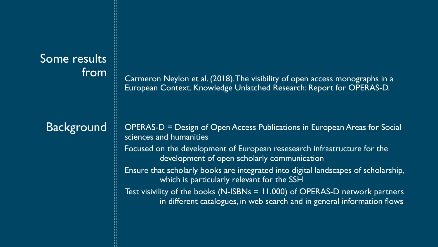# Some results

### **Background**

from Carmeron Neylon et al. (2018). The visibility of open access monographs in a European Context. Knowledge Unlatched Research: Report for OPERAS-D.

> OPERAS-D = Design of Open Access Publications in European Areas for Social sciences and humanities

Focused on the development of European resesearch infrastructure for the development of open scholarly communication

Ensure that scholarly books are integrated into digital landscapes of scholarship, which is particularly relevant for the SSH

Test visivility of the books (N-ISBNs = 11.000) of OPERAS-D network partners in different catalogues, in web search and in general information flows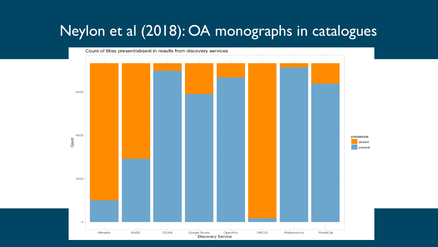## Neylon et al (2018): OA monographs in catalogues

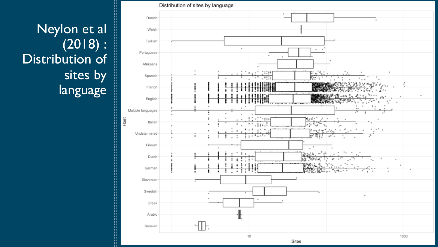## Neylon et al (2018) : Distribution of sites by language

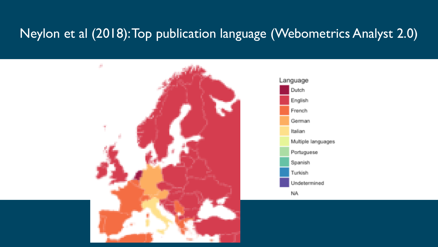### Neylon et al (2018): Top publication language (Webometrics Analyst 2.0)

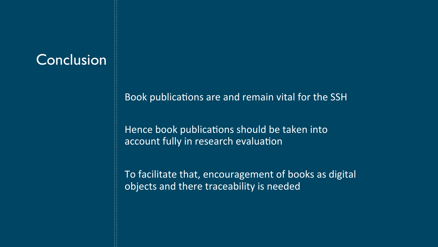## **Conclusion**

Book publications are and remain vital for the SSH

Hence book publications should be taken into account fully in research evaluation

To facilitate that, encouragement of books as digital objects and there traceability is needed